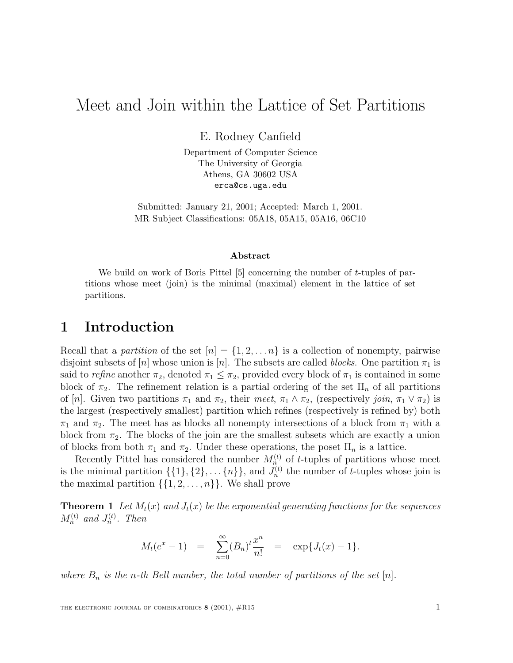# Meet and Join within the Lattice of Set Partitions

E. Rodney Canfield

Department of Computer Science The University of Georgia Athens, GA 30602 USA erca@cs.uga.edu

Submitted: January 21, 2001; Accepted: March 1, 2001. MR Subject Classifications: 05A18, 05A15, 05A16, 06C10

#### **Abstract**

We build on work of Boris Pittel [5] concerning the number of *t*-tuples of partitions whose meet (join) is the minimal (maximal) element in the lattice of set partitions.

#### **1 Introduction**

Recall that a *partition* of the set  $[n] = \{1, 2, \ldots n\}$  is a collection of nonempty, pairwise disjoint subsets of  $[n]$  whose union is  $[n]$ . The subsets are called *blocks*. One partition  $\pi_1$  is said to *refine* another  $\pi_2$ , denoted  $\pi_1 \leq \pi_2$ , provided every block of  $\pi_1$  is contained in some block of  $\pi_2$ . The refinement relation is a partial ordering of the set  $\Pi_n$  of all partitions of [n]. Given two partitions  $\pi_1$  and  $\pi_2$ , their *meet*,  $\pi_1 \wedge \pi_2$ , (respectively *join*,  $\pi_1 \vee \pi_2$ ) is the largest (respectively smallest) partition which refines (respectively is refined by) both  $\pi_1$  and  $\pi_2$ . The meet has as blocks all nonempty intersections of a block from  $\pi_1$  with a block from  $\pi_2$ . The blocks of the join are the smallest subsets which are exactly a union of blocks from both  $\pi_1$  and  $\pi_2$ . Under these operations, the poset  $\Pi_n$  is a lattice.

Recently Pittel has considered the number  $M_n^{(t)}$  of t-tuples of partitions whose meet is the minimal partition  $\{\{1\},\{2\},\ldots\{n\}\}\$ , and  $J_n^{(t)}$  the number of t-tuples whose join is the maximal partition  $\{\{1, 2, \ldots, n\}\}\$ . We shall prove

**Theorem 1** Let  $M_t(x)$  and  $J_t(x)$  be the exponential generating functions for the sequences  $M_n^{(t)}$  and  $J_n^{(t)}$ . Then

$$
M_t(e^x - 1) = \sum_{n=0}^{\infty} (B_n)^t \frac{x^n}{n!} = \exp\{J_t(x) - 1\}.
$$

*where*  $B_n$  *is the n-th* Bell number, the total number of partitions of the set [n].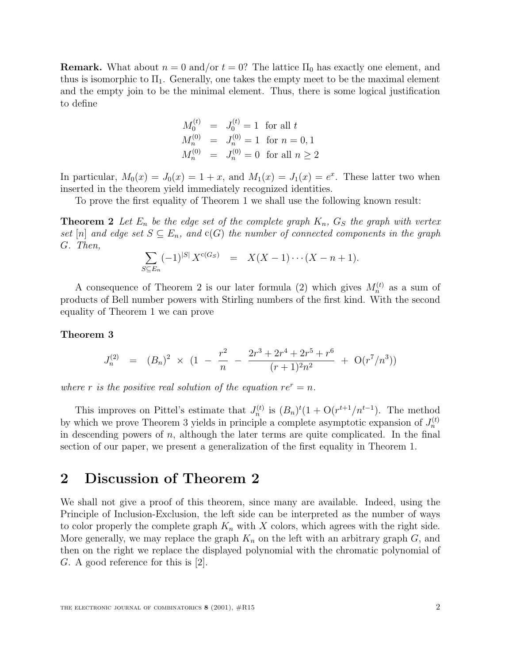**Remark.** What about  $n = 0$  and/or  $t = 0$ ? The lattice  $\Pi_0$  has exactly one element, and thus is isomorphic to  $\Pi_1$ . Generally, one takes the empty meet to be the maximal element and the empty join to be the minimal element. Thus, there is some logical justification to define

$$
M_0^{(t)} = J_0^{(t)} = 1 \text{ for all } t
$$
  
\n
$$
M_n^{(0)} = J_n^{(0)} = 1 \text{ for } n = 0, 1
$$
  
\n
$$
M_n^{(0)} = J_n^{(0)} = 0 \text{ for all } n \ge 2
$$

In particular,  $M_0(x) = J_0(x) = 1 + x$ , and  $M_1(x) = J_1(x) = e^x$ . These latter two when inserted in the theorem yield immediately recognized identities.

To prove the first equality of Theorem 1 we shall use the following known result:

**Theorem 2** Let  $E_n$  be the edge set of the complete graph  $K_n$ ,  $G_S$  the graph with vertex *set* [n] and edge set  $S \subseteq E_n$ , and  $c(G)$  the number of connected components in the graph G*. Then,*

$$
\sum_{S \subseteq E_n} (-1)^{|S|} X^{c(G_S)} = X(X-1) \cdots (X-n+1).
$$

A consequence of Theorem 2 is our later formula (2) which gives  $M_n^{(t)}$  as a sum of products of Bell number powers with Stirling numbers of the first kind. With the second equality of Theorem 1 we can prove

#### **Theorem 3**

$$
J_n^{(2)} = (B_n)^2 \times (1 - \frac{r^2}{n} - \frac{2r^3 + 2r^4 + 2r^5 + r^6}{(r+1)^2 n^2} + O(r^7/n^3))
$$

*where* r *is the positive real solution of the equation*  $re^r = n$ *.* 

This improves on Pittel's estimate that  $J_n^{(t)}$  is  $(B_n)^t(1 + O(r^{t+1}/n^{t-1}))$ . The method by which we prove Theorem 3 yields in principle a complete asymptotic expansion of  $J_n^{(t)}$ in descending powers of  $n$ , although the later terms are quite complicated. In the final section of our paper, we present a generalization of the first equality in Theorem 1.

#### **2 Discussion of Theorem 2**

We shall not give a proof of this theorem, since many are available. Indeed, using the Principle of Inclusion-Exclusion, the left side can be interpreted as the number of ways to color properly the complete graph  $K_n$  with X colors, which agrees with the right side. More generally, we may replace the graph  $K_n$  on the left with an arbitrary graph  $G$ , and then on the right we replace the displayed polynomial with the chromatic polynomial of G. A good reference for this is [2].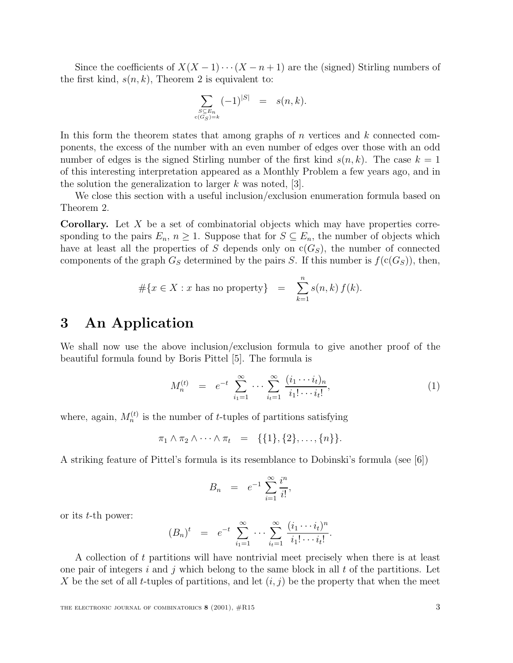Since the coefficients of  $X(X-1)\cdots(X-n+1)$  are the (signed) Stirling numbers of the first kind,  $s(n, k)$ , Theorem 2 is equivalent to:

$$
\sum_{\substack{S \subseteq E_n \\ c(G_S)=k}} (-1)^{|S|} = s(n,k).
$$

In this form the theorem states that among graphs of  $n$  vertices and  $k$  connected components, the excess of the number with an even number of edges over those with an odd number of edges is the signed Stirling number of the first kind  $s(n, k)$ . The case  $k = 1$ of this interesting interpretation appeared as a Monthly Problem a few years ago, and in the solution the generalization to larger  $k$  was noted, [3].

We close this section with a useful inclusion/exclusion enumeration formula based on Theorem 2.

**Corollary.** Let X be a set of combinatorial objects which may have properties corresponding to the pairs  $E_n$ ,  $n \geq 1$ . Suppose that for  $S \subseteq E_n$ , the number of objects which have at least all the properties of S depends only on  $c(G<sub>S</sub>)$ , the number of connected components of the graph  $G_S$  determined by the pairs S. If this number is  $f(c(G_S))$ , then,

$$
\#\{x \in X : x \text{ has no property}\} = \sum_{k=1}^{n} s(n,k) f(k).
$$

## **3 An Application**

We shall now use the above inclusion/exclusion formula to give another proof of the beautiful formula found by Boris Pittel [5]. The formula is

$$
M_n^{(t)} = e^{-t} \sum_{i_1=1}^{\infty} \cdots \sum_{i_t=1}^{\infty} \frac{(i_1 \cdots i_t)_n}{i_1! \cdots i_t!},
$$
 (1)

where, again,  $M_n^{(t)}$  is the number of t-tuples of partitions satisfying

$$
\pi_1 \wedge \pi_2 \wedge \cdots \wedge \pi_t = \{\{1\}, \{2\}, \ldots, \{n\}\}.
$$

A striking feature of Pittel's formula is its resemblance to Dobinski's formula (see [6])

$$
B_n = e^{-1} \sum_{i=1}^{\infty} \frac{i^n}{i!},
$$

or its t-th power:

$$
(B_n)^t = e^{-t} \sum_{i_1=1}^{\infty} \cdots \sum_{i_t=1}^{\infty} \frac{(i_1 \cdots i_t)^n}{i_1! \cdots i_t!}.
$$

A collection of t partitions will have nontrivial meet precisely when there is at least one pair of integers i and j which belong to the same block in all t of the partitions. Let X be the set of all t-tuples of partitions, and let  $(i, j)$  be the property that when the meet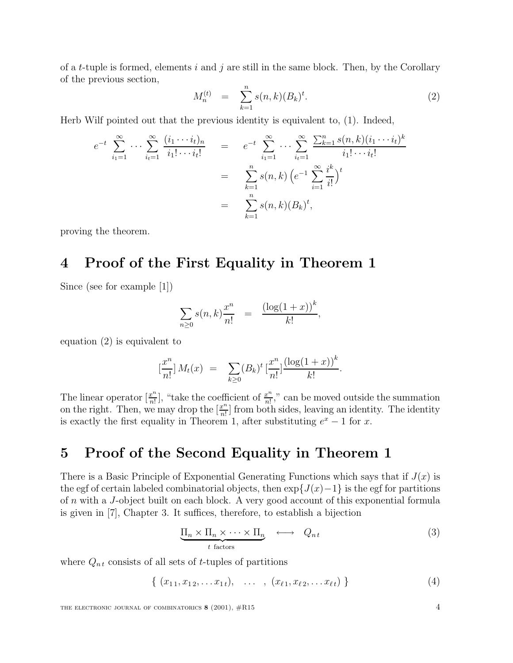of a t-tuple is formed, elements i and j are still in the same block. Then, by the Corollary of the previous section,

$$
M_n^{(t)} = \sum_{k=1}^n s(n,k) (B_k)^t.
$$
 (2)

Herb Wilf pointed out that the previous identity is equivalent to, (1). Indeed,

$$
e^{-t} \sum_{i_1=1}^{\infty} \cdots \sum_{i_t=1}^{\infty} \frac{(i_1 \cdots i_t)_n}{i_1! \cdots i_t!} = e^{-t} \sum_{i_1=1}^{\infty} \cdots \sum_{i_t=1}^{\infty} \frac{\sum_{k=1}^n s(n,k)(i_1 \cdots i_t)^k}{i_1! \cdots i_t!}
$$
  

$$
= \sum_{k=1}^n s(n,k) \left( e^{-1} \sum_{i=1}^{\infty} \frac{i^k}{i!} \right)^t
$$
  

$$
= \sum_{k=1}^n s(n,k) (B_k)^t,
$$

proving the theorem.

## **4 Proof of the First Equality in Theorem 1**

Since (see for example [1])

$$
\sum_{n\geq 0} s(n,k) \frac{x^n}{n!} = \frac{(\log(1+x))^k}{k!},
$$

equation (2) is equivalent to

$$
\left[\frac{x^n}{n!}\right]M_t(x) = \sum_{k\geq 0} (B_k)^t \left[\frac{x^n}{n!}\right] \frac{\left(\log(1+x)\right)^k}{k!}.
$$

The linear operator  $\left[\frac{x^n}{n!}\right]$ , "take the coefficient of  $\frac{x^n}{n!}$ ," can be moved outside the summation on the right. Then, we may drop the  $\left[\frac{x^n}{n!}\right]$  from both sides, leaving an identity. The identity is exactly the first equality in Theorem 1, after substituting  $e^x - 1$  for x.

## **5 Proof of the Second Equality in Theorem 1**

There is a Basic Principle of Exponential Generating Functions which says that if  $J(x)$  is the egf of certain labeled combinatorial objects, then  $\exp\{J(x)-1\}$  is the egf for partitions of n with a J-object built on each block. A very good account of this exponential formula is given in [7], Chapter 3. It suffices, therefore, to establish a bijection

$$
\underbrace{\Pi_n \times \Pi_n \times \cdots \times \Pi_n}_{t \text{ factors}} \longleftrightarrow Q_{nt} \tag{3}
$$

where  $Q_{nt}$  consists of all sets of t-tuples of partitions

{  $(x_{11}, x_{12}, \ldots x_{1t}), \ldots , (x_{\ell 1}, x_{\ell 2}, \ldots x_{\ell t})$  } (4)

THE ELECTRONIC JOURNAL OF COMBINATORICS **8** (2001),  $\#R15$  4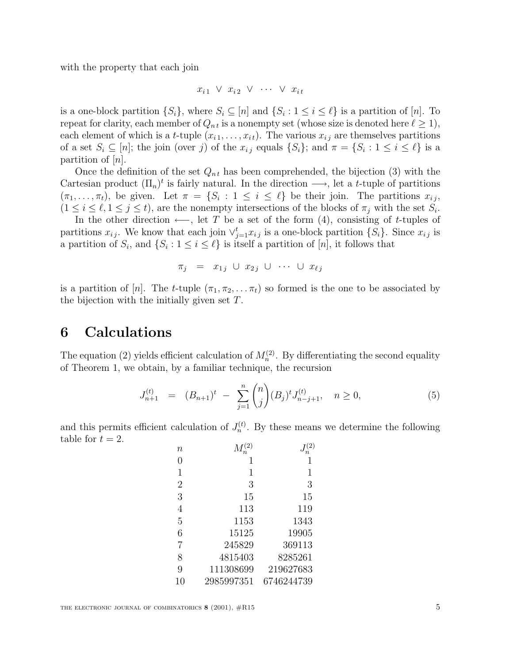with the property that each join

$$
x_{i1} \vee x_{i2} \vee \cdots \vee x_{it}
$$

is a one-block partition  $\{S_i\}$ , where  $S_i \subseteq [n]$  and  $\{S_i : 1 \le i \le \ell\}$  is a partition of  $[n]$ . To repeat for clarity, each member of  $Q_{nt}$  is a nonempty set (whose size is denoted here  $\ell \geq 1$ ), each element of which is a t-tuple  $(x_{i1},...,x_{it})$ . The various  $x_{ij}$  are themselves partitions of a set  $S_i \subseteq [n]$ ; the join (over j) of the  $x_{i j}$  equals  $\{S_i\}$ ; and  $\pi = \{S_i : 1 \le i \le \ell\}$  is a partition of  $|n|$ .

Once the definition of the set  $Q_{nt}$  has been comprehended, the bijection (3) with the Cartesian product  $(\Pi_n)^t$  is fairly natural. In the direction  $\longrightarrow$ , let a t-tuple of partitions  $(\pi_1,\ldots,\pi_t)$ , be given. Let  $\pi = \{S_i : 1 \leq i \leq \ell\}$  be their join. The partitions  $x_{ij}$ ,  $(1 \leq i \leq \ell, 1 \leq j \leq t)$ , are the nonempty intersections of the blocks of  $\pi_i$  with the set  $S_i$ .

In the other direction  $\leftarrow$ , let T be a set of the form (4), consisting of t-tuples of partitions  $x_{ij}$ . We know that each join  $\vee_{j=1}^{t} x_{ij}$  is a one-block partition  $\{S_i\}$ . Since  $x_{ij}$  is a partition of  $S_i$ , and  $\{S_i : 1 \leq i \leq \ell\}$  is itself a partition of [n], it follows that

$$
\pi_j = x_{1j} \cup x_{2j} \cup \cdots \cup x_{\ell j}
$$

is a partition of [n]. The t-tuple  $(\pi_1, \pi_2, \ldots, \pi_t)$  so formed is the one to be associated by the bijection with the initially given set  $T$ .

# **6 Calculations**

The equation (2) yields efficient calculation of  $M_n^{(2)}$ . By differentiating the second equality of Theorem 1, we obtain, by a familiar technique, the recursion

$$
J_{n+1}^{(t)} = (B_{n+1})^t - \sum_{j=1}^n \binom{n}{j} (B_j)^t J_{n-j+1}^{(t)}, \quad n \ge 0,
$$
 (5)

and this permits efficient calculation of  $J_n^{(t)}$ . By these means we determine the following table for  $t = 2$ .

| $\boldsymbol{n}$ | (2)        | $\left( 2\right)$ |
|------------------|------------|-------------------|
| 0                | 1          | 1                 |
| $\mathbf 1$      | 1          | 1                 |
| $\overline{2}$   | 3          | 3                 |
| 3                | 15         | 15                |
| 4                | 113        | 119               |
| 5                | 1153       | 1343              |
| 6                | 15125      | 19905             |
| $\overline{7}$   | 245829     | 369113            |
| 8                | 4815403    | 8285261           |
| 9                | 111308699  | 219627683         |
| 10               | 2985997351 | 6746244739        |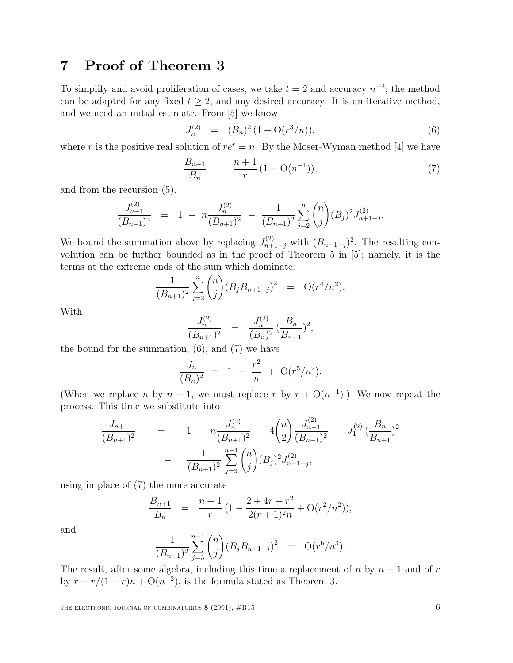## **7 Proof of Theorem 3**

To simplify and avoid proliferation of cases, we take  $t = 2$  and accuracy  $n^{-2}$ ; the method can be adapted for any fixed  $t \geq 2$ , and any desired accuracy. It is an iterative method, and we need an initial estimate. From [5] we know

$$
J_n^{(2)} = (B_n)^2 (1 + \mathcal{O}(r^3/n)), \tag{6}
$$

where r is the positive real solution of  $re^{r} = n$ . By the Moser-Wyman method [4] we have

$$
\frac{B_{n+1}}{B_n} = \frac{n+1}{r} (1 + \mathcal{O}(n^{-1})), \tag{7}
$$

and from the recursion (5),

$$
\frac{J_{n+1}^{(2)}}{(B_{n+1})^2} = 1 - n \frac{J_n^{(2)}}{(B_{n+1})^2} - \frac{1}{(B_{n+1})^2} \sum_{j=2}^n \binom{n}{j} (B_j)^2 J_{n+1-j}^{(2)}.
$$

We bound the summation above by replacing  $J_{n+1-j}^{(2)}$  with  $(B_{n+1-j})^2$ . The resulting convolution can be further bounded as in the proof of Theorem 5 in [5]; namely, it is the terms at the extreme ends of the sum which dominate:

$$
\frac{1}{(B_{n+1})^2} \sum_{j=2}^n \binom{n}{j} (B_j B_{n+1-j})^2 = O(r^4/n^2).
$$

With

$$
\frac{J_n^{(2)}}{(B_{n+1})^2} = \frac{J_n^{(2)}}{(B_n)^2} \left(\frac{B_n}{B_{n+1}}\right)^2,
$$

the bound for the summation,  $(6)$ , and  $(7)$  we have

$$
\frac{J_n}{(B_n)^2} = 1 - \frac{r^2}{n} + \mathcal{O}(r^5/n^2).
$$

(When we replace n by  $n-1$ , we must replace r by  $r + O(n^{-1})$ .) We now repeat the process. This time we substitute into

$$
\frac{J_{n+1}}{(B_{n+1})^2} = 1 - n \frac{J_n^{(2)}}{(B_{n+1})^2} - 4 {n \choose 2} \frac{J_{n-1}^{(2)}}{(B_{n+1})^2} - J_1^{(2)} \left(\frac{B_n}{B_{n+1}}\right)^2
$$

$$
- \frac{1}{(B_{n+1})^2} \sum_{j=3}^{n-1} {n \choose j} (B_j)^2 J_{n+1-j}^{(2)},
$$

using in place of (7) the more accurate

$$
\frac{B_{n+1}}{B_n} = \frac{n+1}{r} \left( 1 - \frac{2+4r+r^2}{2(r+1)^2 n} + \mathcal{O}(r^2/n^2) \right),
$$

and

$$
\frac{1}{(B_{n+1})^2} \sum_{j=3}^{n-1} {n \choose j} (B_j B_{n+1-j})^2 = \mathcal{O}(r^6/n^3).
$$

The result, after some algebra, including this time a replacement of n by  $n-1$  and of r by  $r - r/(1 + r)n + O(n^{-2})$ , is the formula stated as Theorem 3.

THE ELECTRONIC JOURNAL OF COMBINATORICS **8** (2001),  $\#R15$  6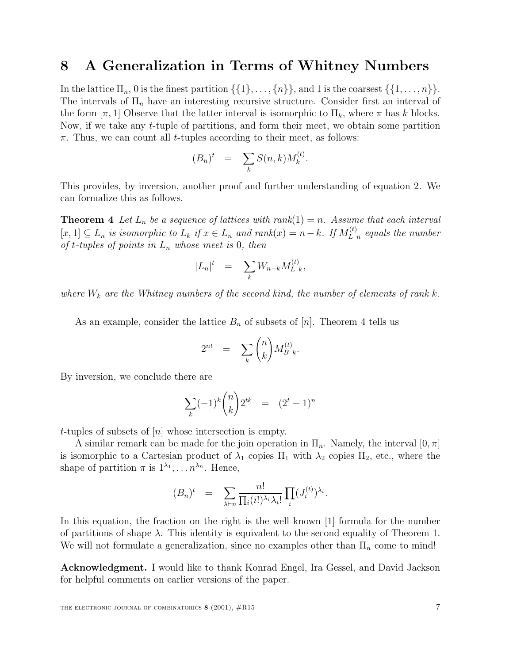### **8 A Generalization in Terms of Whitney Numbers**

In the lattice  $\Pi_n$ , 0 is the finest partition  $\{\{1\},\ldots,\{n\}\}\$ , and 1 is the coarsest  $\{\{1,\ldots,n\}\}\$ . The intervals of  $\Pi_n$  have an interesting recursive structure. Consider first an interval of the form  $[\pi, 1]$  Observe that the latter interval is isomorphic to  $\Pi_k$ , where  $\pi$  has k blocks. Now, if we take any t-tuple of partitions, and form their meet, we obtain some partition  $\pi$ . Thus, we can count all *t*-tuples according to their meet, as follows:

$$
(B_n)^t = \sum_k S(n,k) M_k^{(t)}.
$$

This provides, by inversion, another proof and further understanding of equation 2. We can formalize this as follows.

**Theorem 4** Let  $L_n$  be a sequence of lattices with  $rank(1) = n$ . Assume that each interval  $[x, 1]$  ⊆  $L_n$  *is isomorphic to*  $L_k$  *if*  $x \in L_n$  *and rank* $(x) = n - k$ *. If*  $M_{L_n}^{(t)}$  *equals the number of*  $t$ -tuples of points in  $L_n$  whose meet is 0, then

$$
|L_n|^t = \sum_k W_{n-k} M_{L,k}^{(t)},
$$

*where*  $W_k$  *are the Whitney numbers of the second kind, the number of elements of rank k.* 

As an example, consider the lattice  $B_n$  of subsets of  $[n]$ . Theorem 4 tells us

$$
2^{nt} = \sum_{k} \binom{n}{k} M_{B \ k}^{(t)}.
$$

By inversion, we conclude there are

$$
\sum_{k} (-1)^{k} \binom{n}{k} 2^{tk} = (2^{t} - 1)^{n}
$$

t-tuples of subsets of  $[n]$  whose intersection is empty.

A similar remark can be made for the join operation in  $\Pi_n$ . Namely, the interval  $[0, \pi]$ is isomorphic to a Cartesian product of  $\lambda_1$  copies  $\Pi_1$  with  $\lambda_2$  copies  $\Pi_2$ , etc., where the shape of partition  $\pi$  is  $1^{\lambda_1}, \ldots n^{\lambda_n}$ . Hence,

$$
(B_n)^t = \sum_{\lambda \vdash n} \frac{n!}{\prod_i (i!)^{\lambda_i} \lambda_i!} \prod_i (J_i^{(t)})^{\lambda_i}.
$$

In this equation, the fraction on the right is the well known [1] formula for the number of partitions of shape  $\lambda$ . This identity is equivalent to the second equality of Theorem 1. We will not formulate a generalization, since no examples other than  $\Pi_n$  come to mind!

**Acknowledgment.** I would like to thank Konrad Engel, Ira Gessel, and David Jackson for helpful comments on earlier versions of the paper.